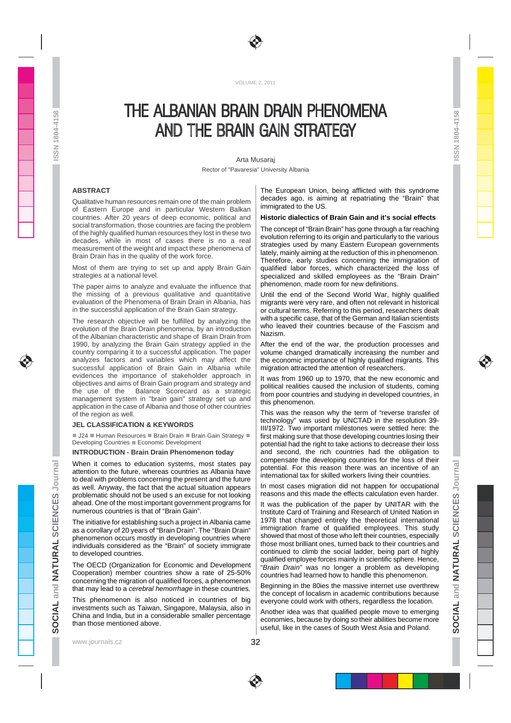

VOLUME 2, 2011

# THE ALBANIAN BRAIN DRAIN PHENOMENA AND THE BRAIN GAIN STRATEGY

Arta Musaraj Rector of "Pavaresia" University Albania

32

## **ABSTRACT**

SN 1804-4158

ŭ,

Qualitative human resources remain one of the main problem of Eastern Europe and in particular Western Balkan countries. After 20 years of deep economic, political and social transformation, those countries are facing the problem of the highly qualified human resources they lost in these two decades, while in most of cases there is no a real measurement of the weight and impact these phenomena of Brain Drain has in the quality of the work force.

Most of them are trying to set up and apply Brain Gain strategies at a national level.

The paper aims to analyze and evaluate the influence that the missing of a previous qualitative and quantitative evaluation of the Phenomena of Brain Drain in Albania, has in the successful application of the Brain Gain strategy.

The research objective will be fulfilled by analyzing the evolution of the Brain Drain phenomena, by an introduction of the Albanian characteristic and shape of Brain Drain from 1990, by analyzing the Brain Gain strategy applied in the country comparing it to a successful application. The paper analyzes factors and variables which may affect the successful application of Brain Gain in Albania while evidences the importance of stakeholder approach in objectives and aims of Brain Gain program and strategy and Balance Scorecard as a strategic management system in "brain gain" strategy set up and application in the case of Albania and those of other countries of the region as well.

## **JEL CLASSIFICATION & KEYWORDS**

J24 Human Resources Brain Drain Brain Gain Strategy Developing Countries Economic Development

**INTRODUCTION - Brain Drain Phenomenon today**

When it comes to education systems, most states pay attention to the future, whereas countries as Albania have to deal with problems concerning the present and the future as well. Anyway, the fact that the actual situation appears problematic should not be used s an excuse for not looking ahead. One of the most important government programs for numerous countries is that of "Brain Gain".

The initiative for establishing such a project in Albania came as a corollary of 20 years of "Brain Drain". The "Brain Drain" phenomenon occurs mostly in developing countries where individuals considered as the "Brain" of society immigrate to developed countries.

The OECD (Organization for Economic and Development Cooperation) member countries show a rate of 25-50% concerning the migration of qualified forces, a phenomenon that may lead to a cerebral hemorrhage in these countries.

This phenomenon is also noticed in countries of big investments such as Taiwan, Singapore, Malaysia, also in China and India, but in a considerable smaller percentage than those mentioned above.

www.journals.cz

The European Union, being afflicted with this syndrome decades ago, is aiming at repatriating the "Brain" that immigrated to the US.

### **Historic dialectics of Brain Gain and it's social effects**

The concept of "Brain Brain" has gone through a far reaching evolution referring to its origin and particularly to the various strategies used by many Eastern European governments lately, mainly aiming at the reduction of this in phenomenon. Therefore, early studies concerning the immigration of qualified labor forces, which characterized the loss of specialized and skilled employees as the "Brain Drain" phenomenon, made room for new definitions.

Until the end of the Second World War, highly qualified migrants were very rare, and often not relevant in historical or cultural terms. Referring to this period, researchers dealt with a specific case, that of the German and Italian scientists who leaved their countries because of the Fascism and Nazism.

After the end of the war, the production processes and volume changed dramatically increasing the number and the economic importance of highly qualified migrants. This migration attracted the attention of researchers.

It was from 1960 up to 1970, that the new economic and political realities caused the inclusion of students, coming from poor countries and studying in developed countries, in this phenomenon.

This was the reason why the term of "reverse transfer of technology" was used by UNCTAD in the resolution 39- III/1972. Two important milestones were settled here: the first making sure that those developing countries losing their potential had the right to take actions to decrease their loss and second, the rich countries had the obligation to compensate the developing countries for the loss of their potential. For this reason there was an incentive of an international tax for skilled workers living their countries.

In most cases migration did not happen for occupational reasons and this made the effects calculation even harder.

It was the publication of the paper by UNITAR with the Institute Card of Training and Research of United Nation in 1978 that changed entirely the theoretical international immigration frame of qualified employees. This study showed that most of those who left their countries, especially those most brilliant ones, turned back to their countries and continued to climb the social ladder, being part of highly qualified employee forces mainly in scientific sphere. Hence, "Brain Drain" was no longer a problem as developing countries had learned how to handle this phenomenon.

Beginning in the 80ies the massive internet use overthrew the concept of localism in academic contributions because everyone could work with others, regardless the location.

Another idea was that qualified people move to emerging economies, because by doing so their abilities become more useful, like in the cases of South West Asia and Poland.

1804-4158

 $\frac{1}{2}$ 

ŏ,

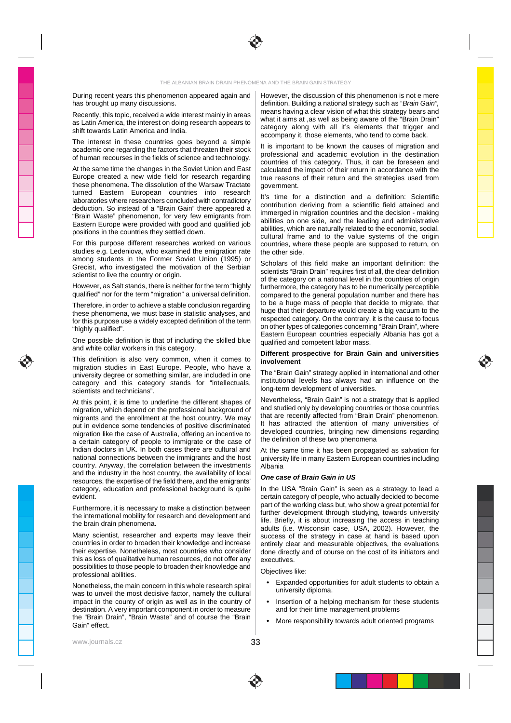During recent years this phenomenon appeared again and has brought up many discussions.

Recently, this topic, received a wide interest mainly in areas as Latin America, the interest on doing research appears to shift towards Latin America and India.

The interest in these countries goes beyond a simple academic one regarding the factors that threaten their stock of human recourses in the fields of science and technology.

At the same time the changes in the Soviet Union and East Europe created a new wide field for research regarding these phenomena. The dissolution of the Warsaw Tractate turned Eastern European countries into research laboratories where researchers concluded with contradictory deduction. So instead of a "Brain Gain" there appeared a "Brain Waste" phenomenon, for very few emigrants from Eastern Europe were provided with good and qualified job positions in the countries they settled down.

For this purpose different researches worked on various studies e.g. Ledeniova, who examined the emigration rate among students in the Former Soviet Union (1995) or Grecist, who investigated the motivation of the Serbian scientist to live the country or origin.

However, as Salt stands, there is neither for the term "highly qualified" nor for the term "migration" a universal definition.

Therefore, in order to achieve a stable conclusion regarding these phenomena, we must base in statistic analyses, and for this purpose use a widely excepted definition of the term "highly qualified".

One possible definition is that of including the skilled blue and white collar workers in this category.

This definition is also very common, when it comes to migration studies in East Europe. People, who have a university degree or something similar, are included in one category and this category stands for "intellectuals, scientists and technicians".

At this point, it is time to underline the different shapes of migration, which depend on the professional background of migrants and the enrollment at the host country. We may put in evidence some tendencies of positive discriminated migration like the case of Australia, offering an incentive to a certain category of people to immigrate or the case of Indian doctors in UK. In both cases there are cultural and national connections between the immigrants and the host country. Anyway, the correlation between the investments and the industry in the host country, the availability of local resources, the expertise of the field there, and the emigrants' category, education and professional background is quite evident.

Furthermore, it is necessary to make a distinction between the international mobility for research and development and the brain drain phenomena.

Many scientist, researcher and experts may leave their countries in order to broaden their knowledge and increase their expertise. Nonetheless, most countries who consider this as loss of qualitative human resources, do not offer any possibilities to those people to broaden their knowledge and professional abilities.

Nonetheless, the main concern in this whole research spiral was to unveil the most decisive factor, namely the cultural impact in the county of origin as well as in the country of destination. A very important component in order to measure the "Brain Drain", "Brain Waste" and of course the "Brain Gain" effect.

www.journals.cz

However, the discussion of this phenomenon is not e mere definition. Building a national strategy such as "Brain Gain", means having a clear vision of what this strategy bears and what it aims at ,as well as being aware of the "Brain Drain" category along with all it's elements that trigger and accompany it, those elements, who tend to come back.

It is important to be known the causes of migration and professional and academic evolution in the destination countries of this category. Thus, it can be foreseen and calculated the impact of their return in accordance with the true reasons of their return and the strategies used from government.

It's time for a distinction and a definition: Scientific contribution deriving from a scientific field attained and immerged in migration countries and the decision - making abilities on one side, and the leading and administrative abilities, which are naturally related to the economic, social, cultural frame and to the value systems of the origin countries, where these people are supposed to return, on the other side.

Scholars of this field make an important definition: the scientists "Brain Drain" requires first of all, the clear definition of the category on a national level in the countries of origin furthermore, the category has to be numerically perceptible compared to the general population number and there has to be a huge mass of people that decide to migrate, that huge that their departure would create a big vacuum to the respected category. On the contrary, it is the cause to focus on other types of categories concerning "Brain Drain", where Eastern European countries especially Albania has got a qualified and competent labor mass.

#### **Different prospective for Brain Gain and universities involvement**

The "Brain Gain" strategy applied in international and other institutional levels has always had an influence on the long-term development of universities.

Nevertheless, "Brain Gain" is not a strategy that is applied and studied only by developing countries or those countries that are recently affected from "Brain Drain" phenomenon. It has attracted the attention of many universities of developed countries, bringing new dimensions regarding the definition of these two phenomena

At the same time it has been propagated as salvation for university life in many Eastern European countries including Albania

#### **One case of Brain Gain in US**

In the USA "Brain Gain" is seen as a strategy to lead a certain category of people, who actually decided to become part of the working class but, who show a great potential for further development through studying, towards university life. Briefly, it is about increasing the access in teaching adults (i.e. Wisconsin case, USA, 2002). However, the success of the strategy in case at hand is based upon entirely clear and measurable objectives, the evaluations done directly and of course on the cost of its initiators and executives.

Objectives like:

- Expanded opportunities for adult students to obtain a university diploma.
- Insertion of a helping mechanism for these students and for their time management problems
- More responsibility towards adult oriented programs



33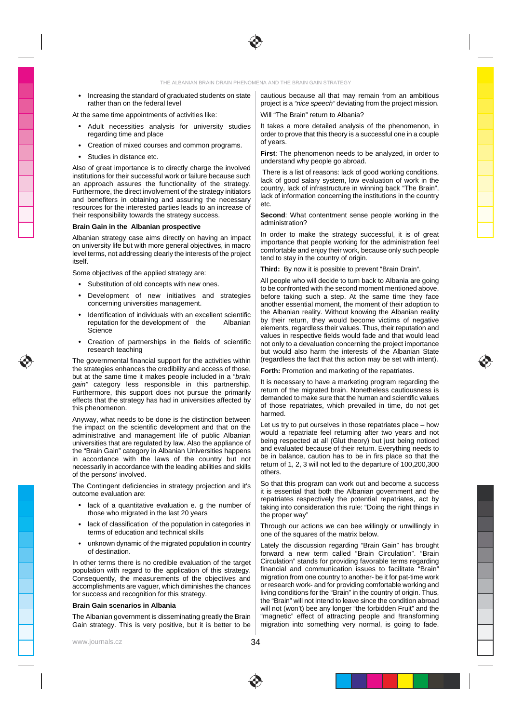

# THE ALBANIAN BRAIN DRAIN PHENOMENA AND THE BRAIN GAIN STRATEGY

 Increasing the standard of graduated students on state rather than on the federal level

At the same time appointments of activities like:

- Adult necessities analysis for university studies regarding time and place
- Creation of mixed courses and common programs.
- Studies in distance etc.

Also of great importance is to directly charge the involved institutions for their successful work or failure because such an approach assures the functionality of the strategy. Furthermore, the direct involvement of the strategy initiators and benefiters in obtaining and assuring the necessary resources for the interested parties leads to an increase of their responsibility towards the strategy success.

#### **Brain Gain in the Albanian prospective**

Albanian strategy case aims directly on having an impact on university life but with more general objectives, in macro level terms, not addressing clearly the interests of the project itself.

Some objectives of the applied strategy are:

- Substitution of old concepts with new ones.
- Development of new initiatives and strategies concerning universities management.
- Identification of individuals with an excellent scientific reputation for the development of the Albanian Science
- Creation of partnerships in the fields of scientific research teaching

The governmental financial support for the activities within the strategies enhances the credibility and access of those, but at the same time it makes people included in a "brain gain" category less responsible in this partnership. Furthermore, this support does not pursue the primarily effects that the strategy has had in universities affected by this phenomenon.

Anyway, what needs to be done is the distinction between the impact on the scientific development and that on the administrative and management life of public Albanian universities that are regulated by law. Also the appliance of the "Brain Gain" category in Albanian Universities happens in accordance with the laws of the country but not necessarily in accordance with the leading abilities and skills of the persons' involved.

The Contingent deficiencies in strategy projection and it's outcome evaluation are:

- lack of a quantitative evaluation e. g the number of those who migrated in the last 20 years
- lack of classification of the population in categories in terms of education and technical skills
- unknown dynamic of the migrated population in country of destination.

In other terms there is no credible evaluation of the target population with regard to the application of this strategy. Consequently, the measurements of the objectives and accomplishments are vaguer, which diminishes the chances for success and recognition for this strategy.

# **Brain Gain scenarios in Albania**

The Albanian government is disseminating greatly the Brain Gain strategy. This is very positive, but it is better to be

www.journals.cz

34

cautious because all that may remain from an ambitious project is a "nice speech" deviating from the project mission. Will "The Brain" return to Albania?

It takes a more detailed analysis of the phenomenon, in order to prove that this theory is a successful one in a couple of years.

**First**: The phenomenon needs to be analyzed, in order to understand why people go abroad.

 There is a list of reasons: lack of good working conditions, lack of good salary system, low evaluation of work in the country, lack of infrastructure in winning back "The Brain", lack of information concerning the institutions in the country etc.

**Second**: What contentment sense people working in the administration?

In order to make the strategy successful, it is of great importance that people working for the administration feel comfortable and enjoy their work, because only such people tend to stay in the country of origin.

**Third:** By now it is possible to prevent "Brain Drain".

All people who will decide to turn back to Albania are going to be confronted with the second moment mentioned above, before taking such a step. At the same time they face another essential moment, the moment of their adoption to the Albanian reality. Without knowing the Albanian reality by their return, they would become victims of negative elements, regardless their values. Thus, their reputation and values in respective fields would fade and that would lead not only to a devaluation concerning the project importance but would also harm the interests of the Albanian State (regardless the fact that this action may be set with intent).

**Forth:** Promotion and marketing of the repatriates.

It is necessary to have a marketing program regarding the return of the migrated brain. Nonetheless cautiousness is demanded to make sure that the human and scientific values of those repatriates, which prevailed in time, do not get harmed.

Let us try to put ourselves in those repatriates place – how would a repatriate feel returning after two years and not being respected at all (Glut theory) but just being noticed and evaluated because of their return. Everything needs to be in balance, caution has to be in firs place so that the return of 1, 2, 3 will not led to the departure of 100,200,300 others.

So that this program can work out and become a success it is essential that both the Albanian government and the repatriates respectively the potential repatriates, act by taking into consideration this rule: "Doing the right things in the proper way"

Through our actions we can bee willingly or unwillingly in one of the squares of the matrix below.

Lately the discussion regarding "Brain Gain" has brought forward a new term called "Brain Circulation". "Brain Circulation" stands for providing favorable terms regarding financial and communication issues to facilitate "Brain" migration from one country to another- be it for pat-time work or research work- and for providing comfortable working and living conditions for the "Brain" in the country of origin. Thus, the "Brain" will not intend to leave since the condition abroad will not (won't) bee any longer "the forbidden Fruit" and the "magnetic" effect of attracting people and !transforming migration into something very normal, is going to fade.